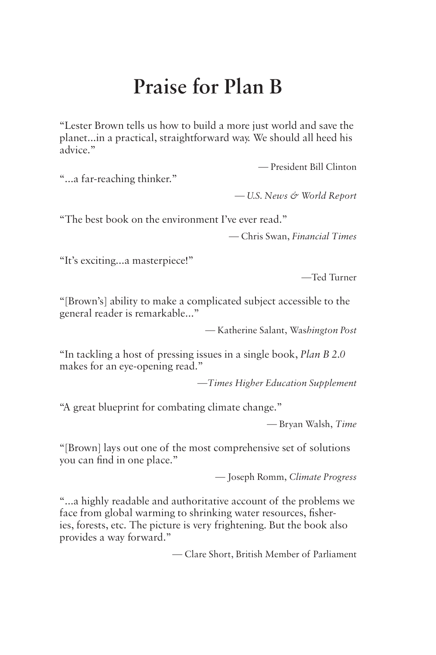### **Praise for Plan B**

"Lester Brown tells us how to build a more just world and save the planet...in a practical, straightforward way. We should all heed his advice."

"...a far-reaching thinker."

— President Bill Clinton

*— U.S. News & World Report*

"The best book on the environment I've ever read."

— Chris Swan, *Financial Times*

"It's exciting...a masterpiece!"

—Ted Turner

"[Brown's] ability to make a complicated subject accessible to the general reader is remarkable..."

— Katherine Salant, Was*hington Post*

"In tackling a host of pressing issues in a single book, *Plan B 2.0* makes for an eye-opening read."

—*Times Higher Education Supplement*

"A great blueprint for combating climate change."

— Bryan Walsh, *Time*

"[Brown] lays out one of the most comprehensive set of solutions you can find in one place."

— Joseph Romm, *Climate Progress*

"...a highly readable and authoritative account of the problems we face from global warming to shrinking water resources, fisheries, forests, etc. The picture is very frightening. But the book also provides a way forward."

— Clare Short, British Member of Parliament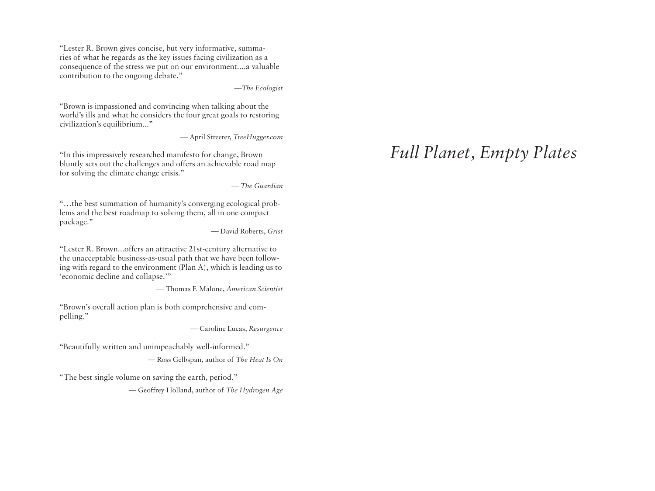"Lester R. Brown gives concise, but very informative, summaries of what he regards as the key issues facing civilization as a consequence of the stress we put on our environment....a valuable contribution to the ongoing debate."

—*The Ecologist*

"Brown is impassioned and convincing when talking about the world's ills and what he considers the four great goals to restoring civilization's equilibrium..."

— April Streeter, *TreeHugger.com*

"In this impressively researched manifesto for change, Brown bluntly sets out the challenges and offers an achievable road map for solving the climate change crisis."

*— The Guardian*

"…the best summation of humanity's converging ecological problems and the best roadmap to solving them, all in one compact package."

— David Roberts, *Grist*

"Lester R. Brown...offers an attractive 21st-century alternative to the unacceptable business-as-usual path that we have been following with regard to the environment (Plan A), which is leading us to 'economic decline and collapse.'"

— Thomas F. Malone, *American Scientist* 

"Brown's overall action plan is both comprehensive and compelling."

— Caroline Lucas, *Resurgence*

"Beautifully written and unimpeachably well-informed."

— Ross Gelbspan, author of *The Heat Is On*

"The best single volume on saving the earth, period."

— Geoffrey Holland, author of *The Hydrogen Age*

## *Full Planet, Empty Plates*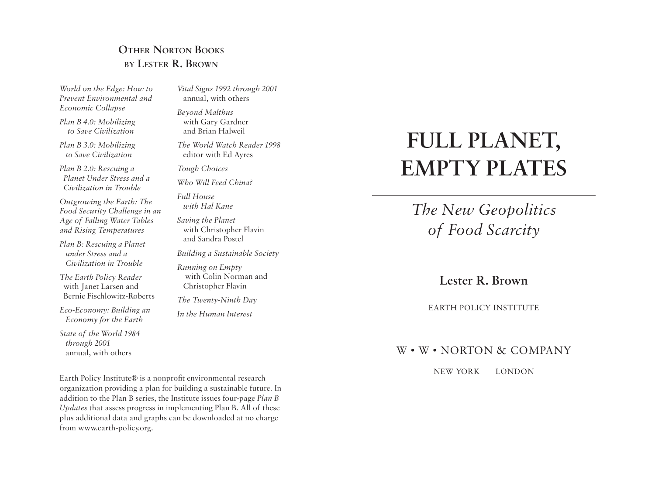#### **OTHER NORTON BOOKS b y Lester R. B r w o n**

*World on the Edge: How to Prevent Environmental and Economic Collapse*

*Plan B 4.0: Mobilizing to Save Civilization*

*Plan B 3.0: Mobilizing to Save Civilization*

*Plan B 2.0: Rescuing a Planet Under Stress and a Civilization in Trouble*

*Outgrowing the Earth: The Food Security Challenge in an Age of Falling Water Tables and Rising Temperatures*

*Plan B: Rescuing a Planet under Stress and a Civilization in Trouble*

*The Earth Policy Reader* with Janet Larsen and Bernie Fischlowitz-Roberts

*Eco-Economy: Building an Economy for the Earth*

*State of the World 1984 through 2001*  annual, with others

Earth Policy Institute® is a nonprofit environmental research organization providing a plan for building a sustainable future. In addition to the Plan B series, the Institute issues four-page *Plan B Updates* that assess progress in implementing Plan B. All of these plus additional data and graphs can be downloaded at no charge from www.earth-policy.org.

*Vital Signs 1992 through 2001* annual, with others

*Beyond Malthus* with Gary Gardner and Brian Halweil

*The World Watch Reader 1998* editor with Ed Ayres

*Tough Choices*

*Who Will Feed China?*

*Full House with Hal Kane*

*Saving the Planet* with Christopher Flavin and Sandra Postel

*Building a Sustainable Society*

*Running on Empty* with Colin Norman and Christopher Flavin

*The Twenty-Ninth Day*

*In the Human Interest*

# **FULL PLANET, EMPTY PLATES**

*The New Geopolitics of Food Scarcity*

**Lester R. Brown**

EARTH POLICY INSTITUT

W • W • NORTON & COMPANY

NEW york LONDON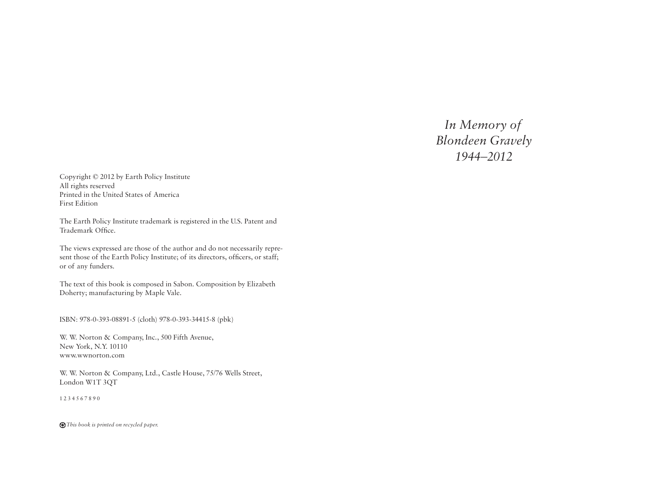*In Memory of Blondeen Gravely 1944–2012*

Copyright © 2012 by Earth Policy Institute All rights reserved Printed in the United States of America First Edition

The Earth Policy Institute trademark is registered in the U.S. Patent and Trademark Office.

The views expressed are those of the author and do not necessarily represent those of the Earth Policy Institute; of its directors, officers, or staff; or of any funders.

The text of this book is composed in Sabon. Composition by Elizabeth Doherty; manufacturing by Maple Vale.

ISBN: 978-0-393-08891-5 (cloth) 978-0-393-34415-8 (pbk)

W. W. Norton & Company, Inc., 500 Fifth Avenue, New York, N.Y. 10110 www.wwnorton.com

W. W. Norton & Company, Ltd., Castle House, 75/76 Wells Street, London W1T 3QT

1 2 3 4 5 6 7 8 9 0

*This book is printed on recycled paper.*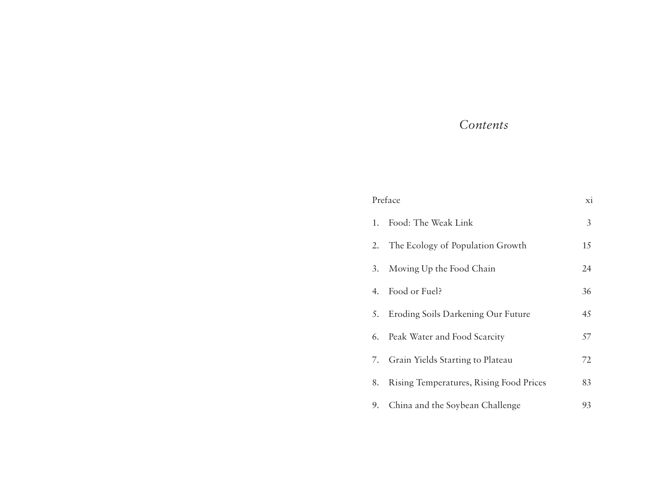### *Contents*

| Preface |                                            | xi |
|---------|--------------------------------------------|----|
|         | 1. Food: The Weak Link                     | 3  |
|         | 2. The Ecology of Population Growth        | 15 |
|         | 3. Moving Up the Food Chain                | 24 |
|         | 4. Food or Fuel?                           | 36 |
|         | 5. Eroding Soils Darkening Our Future      | 45 |
|         | 6. Peak Water and Food Scarcity            | 57 |
|         | 7. Grain Yields Starting to Plateau        | 72 |
|         | 8. Rising Temperatures, Rising Food Prices | 83 |
|         | 9. China and the Soybean Challenge         | 93 |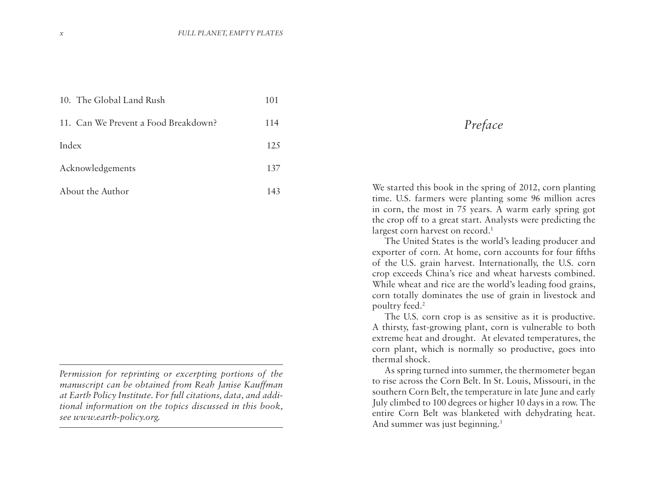| 10. The Global Land Rush             | 101 |
|--------------------------------------|-----|
| 11. Can We Prevent a Food Breakdown? | 114 |
| Index                                | 125 |
| Acknowledgements                     |     |
| About the Author                     | 143 |

*Permission for reprinting or excerpting portions of the manuscript can be obtained from Reah Janise Kauffman at Earth Policy Institute. For full citations, data, and additional information on the topics discussed in this book, see www.earth-policy.org.*

### *Preface*

We started this book in the spring of 2012, corn planting time. U.S. farmers were planting some 96 million acres in corn, the most in 75 years. A warm early spring got the crop off to a great start. Analysts were predicting the largest corn harvest on record.<sup>1</sup>

The United States is the world's leading producer and exporter of corn. At home, corn accounts for four fifths of the U.S. grain harvest. Internationally, the U.S. corn crop exceeds China's rice and wheat harvests combined. While wheat and rice are the world's leading food grains, corn totally dominates the use of grain in livestock and poultry feed.2

The U.S. corn crop is as sensitive as it is productive. A thirsty, fast-growing plant, corn is vulnerable to both extreme heat and drought. At elevated temperatures, the corn plant, which is normally so productive, goes into thermal shock.

As spring turned into summer, the thermometer began to rise across the Corn Belt. In St. Louis, Missouri, in the southern Corn Belt, the temperature in late June and early July climbed to 100 degrees or higher 10 days in a row. The entire Corn Belt was blanketed with dehydrating heat. And summer was just beginning.<sup>3</sup>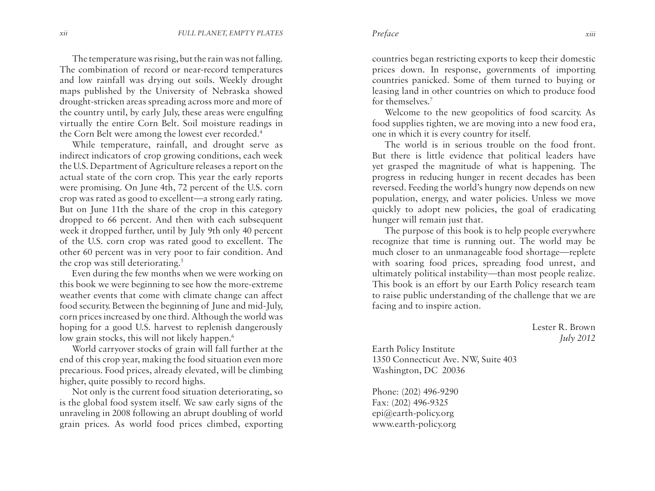The temperature was rising, but the rain was not falling. The combination of record or near-record temperatures and low rainfall was drying out soils. Weekly drought maps published by the University of Nebraska showed drought-stricken areas spreading across more and more of the country until, by early July, these areas were engulfing virtually the entire Corn Belt. Soil moisture readings in the Corn Belt were among the lowest ever recorded.<sup>4</sup>

While temperature, rainfall, and drought serve as indirect indicators of crop growing conditions, each week the U.S. Department of Agriculture releases a report on the actual state of the corn crop. This year the early reports were promising. On June 4th, 72 percent of the U.S. corn crop was rated as good to excellent—a strong early rating. But on June 11th the share of the crop in this category dropped to 66 percent. And then with each subsequent week it dropped further, until by July 9th only 40 percent of the U.S. corn crop was rated good to excellent. The other 60 percent was in very poor to fair condition. And the crop was still deteriorating.<sup>5</sup>

Even during the few months when we were working on this book we were beginning to see how the more-extreme weather events that come with climate change can affect food security. Between the beginning of June and mid-July, corn prices increased by one third. Although the world was hoping for a good U.S. harvest to replenish dangerously low grain stocks, this will not likely happen.<sup>6</sup>

World carryover stocks of grain will fall further at the end of this crop year, making the food situation even more precarious. Food prices, already elevated, will be climbing higher, quite possibly to record highs.

Not only is the current food situation deteriorating, so is the global food system itself. We saw early signs of the unraveling in 2008 following an abrupt doubling of world grain prices. As world food prices climbed, exporting countries began restricting exports to keep their domestic prices down. In response, governments of importing countries panicked. Some of them turned to buying or leasing land in other countries on which to produce food for themselves.7

Welcome to the new geopolitics of food scarcity. As food supplies tighten, we are moving into a new food era, one in which it is every country for itself.

The world is in serious trouble on the food front. But there is little evidence that political leaders have yet grasped the magnitude of what is happening. The progress in reducing hunger in recent decades has been reversed. Feeding the world's hungry now depends on new population, energy, and water policies. Unless we move quickly to adopt new policies, the goal of eradicating hunger will remain just that.

The purpose of this book is to help people everywhere recognize that time is running out. The world may be much closer to an unmanageable food shortage—replete with soaring food prices, spreading food unrest, and ultimately political instability—than most people realize. This book is an effort by our Earth Policy research team to raise public understanding of the challenge that we are facing and to inspire action.

> Lester R. Brown *July 2012*

Earth Policy Institute 1350 Connecticut Ave. NW, Suite 403 Washington, DC 20036

Phone: (202) 496-9290 Fax: (202) 496-9325 epi@earth-policy.org www.earth-policy.org